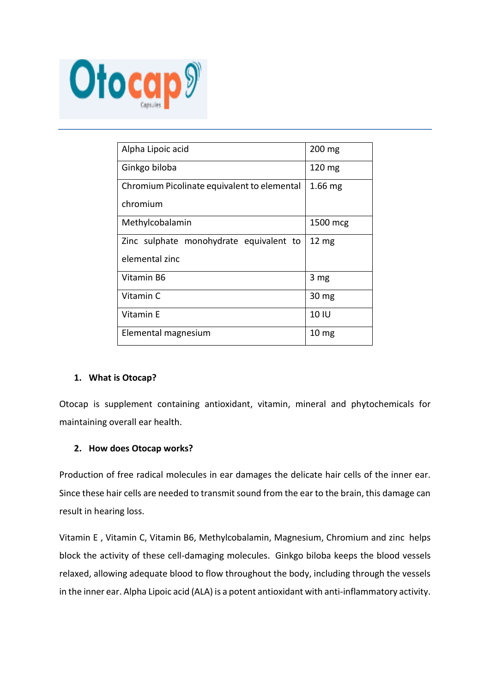

| Alpha Lipoic acid                           | $200 \text{ mg}$ |
|---------------------------------------------|------------------|
| Ginkgo biloba                               | $120 \text{ mg}$ |
| Chromium Picolinate equivalent to elemental | $1.66$ mg        |
| chromium                                    |                  |
| Methylcobalamin                             | 1500 mcg         |
| Zinc sulphate monohydrate equivalent to     | $12 \text{ mg}$  |
| elemental zinc                              |                  |
| Vitamin B6                                  | 3 mg             |
| Vitamin C                                   | 30 <sub>mg</sub> |
| Vitamin E                                   | 10 IU            |
| Elemental magnesium                         | 10 <sub>mg</sub> |
|                                             |                  |

# **1. What is Otocap?**

Otocap is supplement containing antioxidant, vitamin, mineral and phytochemicals for maintaining overall ear health.

# **2. How does Otocap works?**

Production of free radical molecules in ear damages the delicate hair cells of the inner ear. Since these hair cells are needed to transmit sound from the ear to the brain, this damage can result in hearing loss.

Vitamin E , Vitamin C, Vitamin B6, Methylcobalamin, Magnesium, Chromium and zinc helps block the activity of these cell-damaging molecules. Ginkgo biloba keeps the blood vessels relaxed, allowing adequate blood to flow throughout the body, including through the vessels in the inner ear. Alpha Lipoic acid (ALA) is a potent antioxidant with anti-inflammatory activity.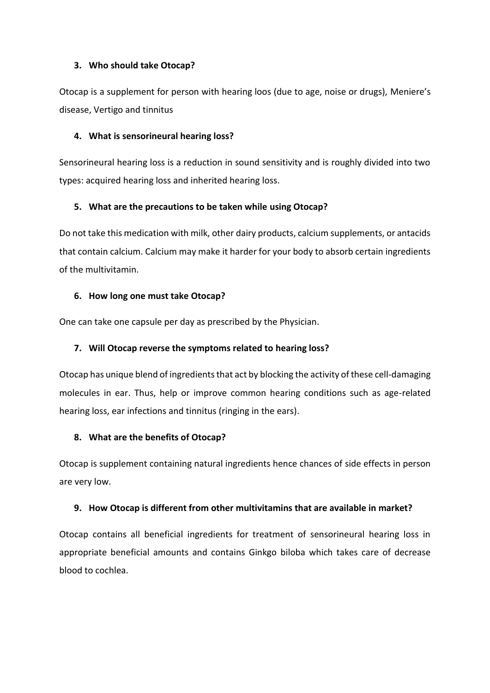#### **3. Who should take Otocap?**

Otocap is a supplement for person with hearing loos (due to age, noise or drugs), Meniere's disease, Vertigo and tinnitus

#### **4. What is sensorineural hearing loss?**

Sensorineural hearing loss is a reduction in sound sensitivity and is roughly divided into two types: acquired hearing loss and inherited hearing loss.

# **5. What are the precautions to be taken while using Otocap?**

Do not take this medication with milk, other dairy products, calcium supplements, or antacids that contain calcium. Calcium may make it harder for your body to absorb certain ingredients of the multivitamin.

# **6. How long one must take Otocap?**

One can take one capsule per day as prescribed by the Physician.

# **7. Will Otocap reverse the symptoms related to hearing loss?**

Otocap has unique blend of ingredients that act by blocking the activity of these cell-damaging molecules in ear. Thus, help or improve common hearing conditions such as age-related hearing loss, ear infections and tinnitus (ringing in the ears).

# **8. What are the benefits of Otocap?**

Otocap is supplement containing natural ingredients hence chances of side effects in person are very low.

# **9. How Otocap is different from other multivitamins that are available in market?**

Otocap contains all beneficial ingredients for treatment of sensorineural hearing loss in appropriate beneficial amounts and contains Ginkgo biloba which takes care of decrease blood to cochlea.